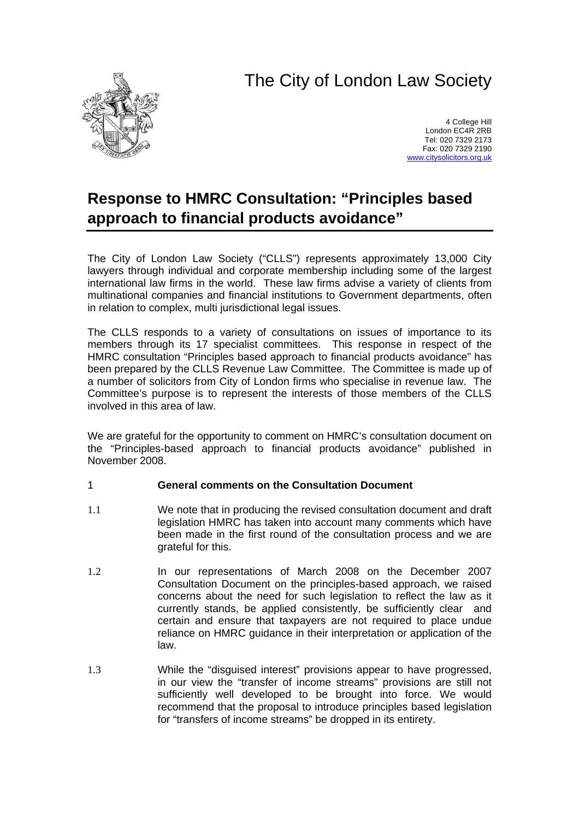# The City of London Law Society



4 College Hill London EC4R 2RB Tel: 020 7329 2173 Fax: 020 7329 2190 [www.citysolicitors.org.uk](http://www.citysolicitors.org.uk/)

## **Response to HMRC Consultation: "Principles based approach to financial products avoidance"**

The City of London Law Society ("CLLS") represents approximately 13,000 City lawyers through individual and corporate membership including some of the largest international law firms in the world. These law firms advise a variety of clients from multinational companies and financial institutions to Government departments, often in relation to complex, multi jurisdictional legal issues.

The CLLS responds to a variety of consultations on issues of importance to its members through its 17 specialist committees. This response in respect of the HMRC consultation "Principles based approach to financial products avoidance" has been prepared by the CLLS Revenue Law Committee. The Committee is made up of a number of solicitors from City of London firms who specialise in revenue law. The Committee's purpose is to represent the interests of those members of the CLLS involved in this area of law.

We are grateful for the opportunity to comment on HMRC's consultation document on the "Principles-based approach to financial products avoidance" published in November 2008.

#### 1 **General comments on the Consultation Document**

- 1.1 We note that in producing the revised consultation document and draft legislation HMRC has taken into account many comments which have been made in the first round of the consultation process and we are grateful for this.
- 1.2 In our representations of March 2008 on the December 2007 Consultation Document on the principles-based approach, we raised concerns about the need for such legislation to reflect the law as it currently stands, be applied consistently, be sufficiently clear and certain and ensure that taxpayers are not required to place undue reliance on HMRC guidance in their interpretation or application of the law.
- 1.3 While the "disguised interest" provisions appear to have progressed, in our view the "transfer of income streams" provisions are still not sufficiently well developed to be brought into force. We would recommend that the proposal to introduce principles based legislation for "transfers of income streams" be dropped in its entirety.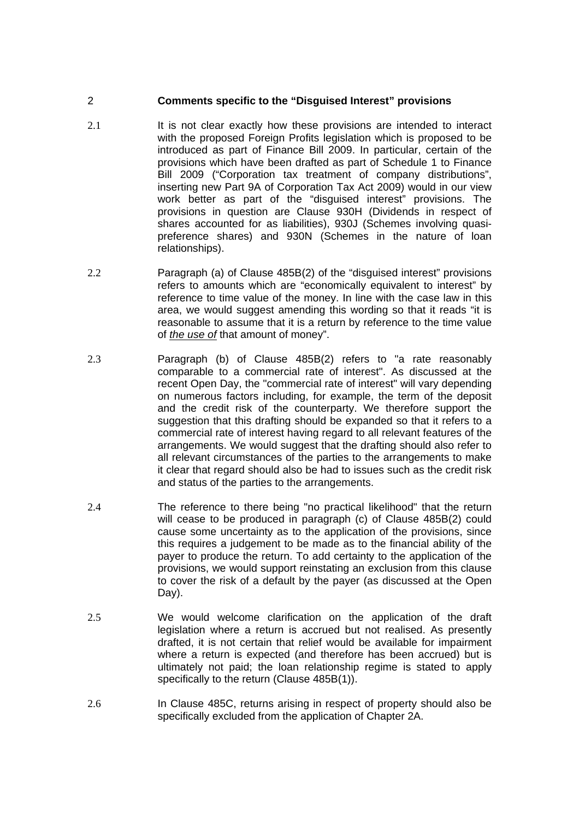#### 2 **Comments specific to the "Disguised Interest" provisions**

- 2.1 **It is not clear exactly how these provisions are intended to interact** with the proposed Foreign Profits legislation which is proposed to be introduced as part of Finance Bill 2009. In particular, certain of the provisions which have been drafted as part of Schedule 1 to Finance Bill 2009 ("Corporation tax treatment of company distributions", inserting new Part 9A of Corporation Tax Act 2009) would in our view work better as part of the "disguised interest" provisions. The provisions in question are Clause 930H (Dividends in respect of shares accounted for as liabilities), 930J (Schemes involving quasipreference shares) and 930N (Schemes in the nature of loan relationships).
- 2.2 Paragraph (a) of Clause 485B(2) of the "disguised interest" provisions refers to amounts which are "economically equivalent to interest" by reference to time value of the money. In line with the case law in this area, we would suggest amending this wording so that it reads "it is reasonable to assume that it is a return by reference to the time value of *the use of* that amount of money".
- 2.3 Paragraph (b) of Clause 485B(2) refers to "a rate reasonably comparable to a commercial rate of interest". As discussed at the recent Open Day, the "commercial rate of interest" will vary depending on numerous factors including, for example, the term of the deposit and the credit risk of the counterparty. We therefore support the suggestion that this drafting should be expanded so that it refers to a commercial rate of interest having regard to all relevant features of the arrangements. We would suggest that the drafting should also refer to all relevant circumstances of the parties to the arrangements to make it clear that regard should also be had to issues such as the credit risk and status of the parties to the arrangements.
- 2.4 The reference to there being "no practical likelihood" that the return will cease to be produced in paragraph (c) of Clause 485B(2) could cause some uncertainty as to the application of the provisions, since this requires a judgement to be made as to the financial ability of the payer to produce the return. To add certainty to the application of the provisions, we would support reinstating an exclusion from this clause to cover the risk of a default by the payer (as discussed at the Open Day).
- 2.5 We would welcome clarification on the application of the draft legislation where a return is accrued but not realised. As presently drafted, it is not certain that relief would be available for impairment where a return is expected (and therefore has been accrued) but is ultimately not paid; the loan relationship regime is stated to apply specifically to the return (Clause 485B(1)).
- 2.6 In Clause 485C, returns arising in respect of property should also be specifically excluded from the application of Chapter 2A.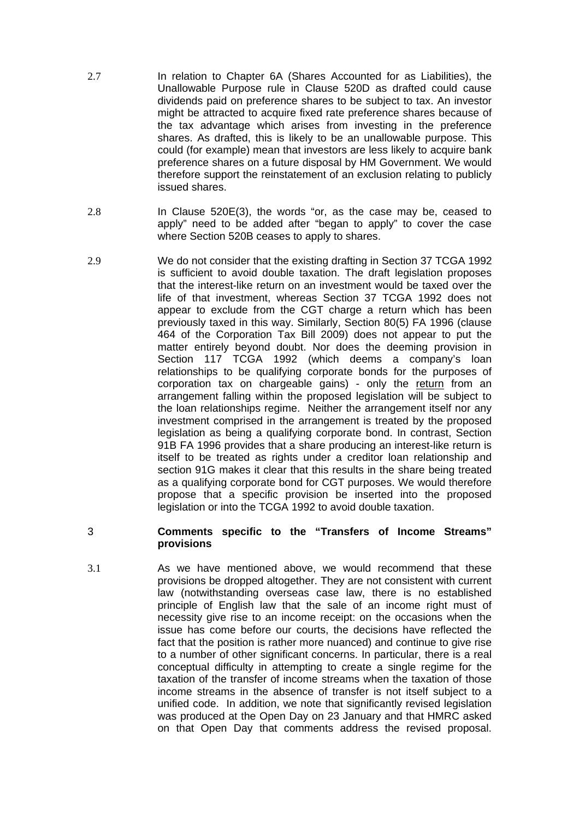- 2.7 In relation to Chapter 6A (Shares Accounted for as Liabilities), the Unallowable Purpose rule in Clause 520D as drafted could cause dividends paid on preference shares to be subject to tax. An investor might be attracted to acquire fixed rate preference shares because of the tax advantage which arises from investing in the preference shares. As drafted, this is likely to be an unallowable purpose. This could (for example) mean that investors are less likely to acquire bank preference shares on a future disposal by HM Government. We would therefore support the reinstatement of an exclusion relating to publicly issued shares.
- 2.8 In Clause 520E(3), the words "or, as the case may be, ceased to apply" need to be added after "began to apply" to cover the case where Section 520B ceases to apply to shares.
- 2.9 We do not consider that the existing drafting in Section 37 TCGA 1992 is sufficient to avoid double taxation. The draft legislation proposes that the interest-like return on an investment would be taxed over the life of that investment, whereas Section 37 TCGA 1992 does not appear to exclude from the CGT charge a return which has been previously taxed in this way. Similarly, Section 80(5) FA 1996 (clause 464 of the Corporation Tax Bill 2009) does not appear to put the matter entirely beyond doubt. Nor does the deeming provision in Section 117 TCGA 1992 (which deems a company's loan relationships to be qualifying corporate bonds for the purposes of corporation tax on chargeable gains) - only the return from an arrangement falling within the proposed legislation will be subject to the loan relationships regime. Neither the arrangement itself nor any investment comprised in the arrangement is treated by the proposed legislation as being a qualifying corporate bond. In contrast, Section 91B FA 1996 provides that a share producing an interest-like return is itself to be treated as rights under a creditor loan relationship and section 91G makes it clear that this results in the share being treated as a qualifying corporate bond for CGT purposes. We would therefore propose that a specific provision be inserted into the proposed legislation or into the TCGA 1992 to avoid double taxation.
- 

### 3 **Comments specific to the "Transfers of Income Streams" provisions**

3.1 As we have mentioned above, we would recommend that these provisions be dropped altogether. They are not consistent with current law (notwithstanding overseas case law, there is no established principle of English law that the sale of an income right must of necessity give rise to an income receipt: on the occasions when the issue has come before our courts, the decisions have reflected the fact that the position is rather more nuanced) and continue to give rise to a number of other significant concerns. In particular, there is a real conceptual difficulty in attempting to create a single regime for the taxation of the transfer of income streams when the taxation of those income streams in the absence of transfer is not itself subject to a unified code. In addition, we note that significantly revised legislation was produced at the Open Day on 23 January and that HMRC asked on that Open Day that comments address the revised proposal.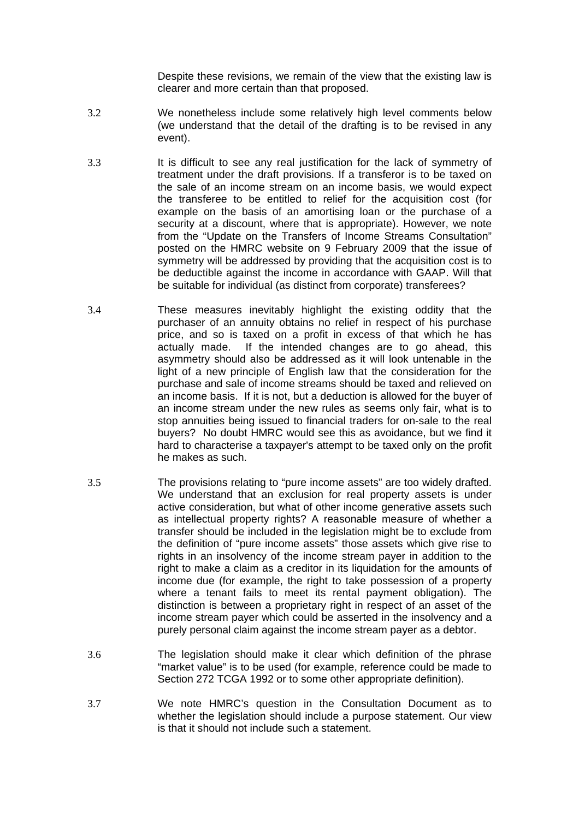Despite these revisions, we remain of the view that the existing law is clearer and more certain than that proposed.

- 3.2 We nonetheless include some relatively high level comments below (we understand that the detail of the drafting is to be revised in any event).
- 3.3 It is difficult to see any real justification for the lack of symmetry of treatment under the draft provisions. If a transferor is to be taxed on the sale of an income stream on an income basis, we would expect the transferee to be entitled to relief for the acquisition cost (for example on the basis of an amortising loan or the purchase of a security at a discount, where that is appropriate). However, we note from the "Update on the Transfers of Income Streams Consultation" posted on the HMRC website on 9 February 2009 that the issue of symmetry will be addressed by providing that the acquisition cost is to be deductible against the income in accordance with GAAP. Will that be suitable for individual (as distinct from corporate) transferees?
- 3.4 These measures inevitably highlight the existing oddity that the purchaser of an annuity obtains no relief in respect of his purchase price, and so is taxed on a profit in excess of that which he has actually made. If the intended changes are to go ahead, this asymmetry should also be addressed as it will look untenable in the light of a new principle of English law that the consideration for the purchase and sale of income streams should be taxed and relieved on an income basis. If it is not, but a deduction is allowed for the buyer of an income stream under the new rules as seems only fair, what is to stop annuities being issued to financial traders for on-sale to the real buyers? No doubt HMRC would see this as avoidance, but we find it hard to characterise a taxpayer's attempt to be taxed only on the profit he makes as such.
- 3.5 The provisions relating to "pure income assets" are too widely drafted. We understand that an exclusion for real property assets is under active consideration, but what of other income generative assets such as intellectual property rights? A reasonable measure of whether a transfer should be included in the legislation might be to exclude from the definition of "pure income assets" those assets which give rise to rights in an insolvency of the income stream payer in addition to the right to make a claim as a creditor in its liquidation for the amounts of income due (for example, the right to take possession of a property where a tenant fails to meet its rental payment obligation). The distinction is between a proprietary right in respect of an asset of the income stream payer which could be asserted in the insolvency and a purely personal claim against the income stream payer as a debtor.
- 3.6 The legislation should make it clear which definition of the phrase "market value" is to be used (for example, reference could be made to Section 272 TCGA 1992 or to some other appropriate definition).
- 3.7 We note HMRC's question in the Consultation Document as to whether the legislation should include a purpose statement. Our view is that it should not include such a statement.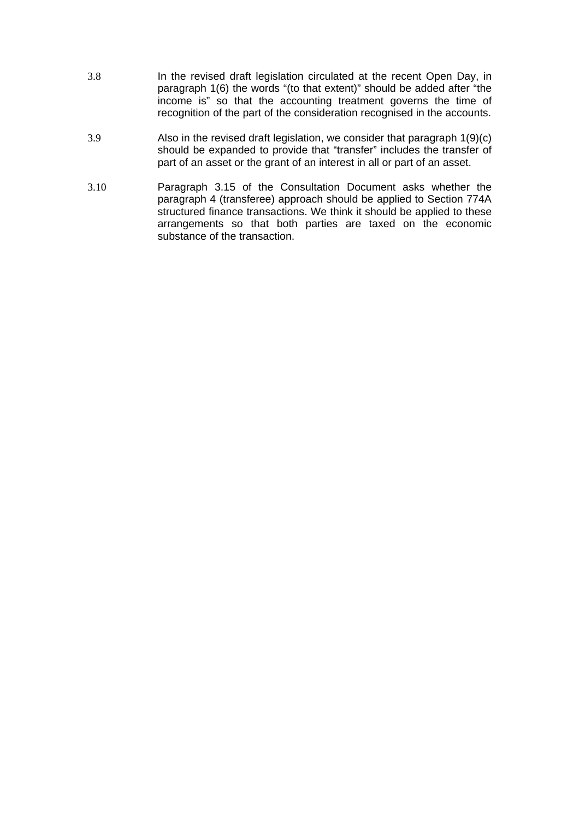- 3.8 In the revised draft legislation circulated at the recent Open Day, in paragraph 1(6) the words "(to that extent)" should be added after "the income is" so that the accounting treatment governs the time of recognition of the part of the consideration recognised in the accounts.
- 3.9 Also in the revised draft legislation, we consider that paragraph 1(9)(c) should be expanded to provide that "transfer" includes the transfer of part of an asset or the grant of an interest in all or part of an asset.
- 3.10 Paragraph 3.15 of the Consultation Document asks whether the paragraph 4 (transferee) approach should be applied to Section 774A structured finance transactions. We think it should be applied to these arrangements so that both parties are taxed on the economic substance of the transaction.